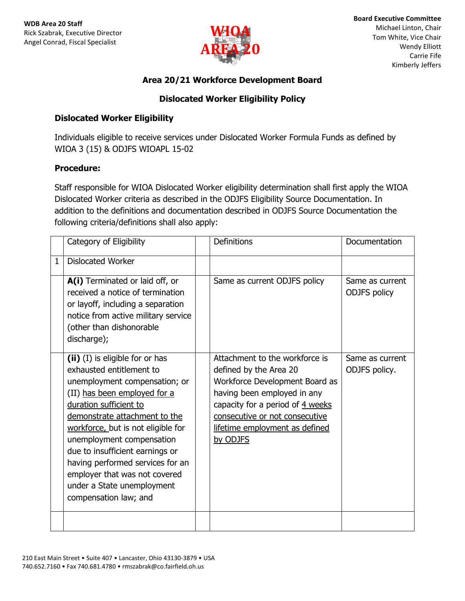

# **Area 20/21 Workforce Development Board**

# **Dislocated Worker Eligibility Policy**

#### **Dislocated Worker Eligibility**

Individuals eligible to receive services under Dislocated Worker Formula Funds as defined by WIOA 3 (15) & ODJFS WIOAPL 15-02

## **Procedure:**

Staff responsible for WIOA Dislocated Worker eligibility determination shall first apply the WIOA Dislocated Worker criteria as described in the ODJFS Eligibility Source Documentation. In addition to the definitions and documentation described in ODJFS Source Documentation the following criteria/definitions shall also apply:

|              | Category of Eligibility                                                                                                                                                                                                                                                                                                                                                                                                   | <b>Definitions</b>                                                                                                                                                                                                                            | <b>Documentation</b>                   |
|--------------|---------------------------------------------------------------------------------------------------------------------------------------------------------------------------------------------------------------------------------------------------------------------------------------------------------------------------------------------------------------------------------------------------------------------------|-----------------------------------------------------------------------------------------------------------------------------------------------------------------------------------------------------------------------------------------------|----------------------------------------|
| $\mathbf{1}$ | <b>Dislocated Worker</b>                                                                                                                                                                                                                                                                                                                                                                                                  |                                                                                                                                                                                                                                               |                                        |
|              | A(i) Terminated or laid off, or<br>received a notice of termination<br>or layoff, including a separation<br>notice from active military service<br>(other than dishonorable<br>discharge);                                                                                                                                                                                                                                | Same as current ODJFS policy                                                                                                                                                                                                                  | Same as current<br><b>ODJFS</b> policy |
|              | (ii) (I) is eligible for or has<br>exhausted entitlement to<br>unemployment compensation; or<br>(II) has been employed for a<br>duration sufficient to<br>demonstrate attachment to the<br>workforce, but is not eligible for<br>unemployment compensation<br>due to insufficient earnings or<br>having performed services for an<br>employer that was not covered<br>under a State unemployment<br>compensation law; and | Attachment to the workforce is<br>defined by the Area 20<br>Workforce Development Board as<br>having been employed in any<br>capacity for a period of 4 weeks<br>consecutive or not consecutive<br>lifetime employment as defined<br>by ODJFS | Same as current<br>ODJFS policy.       |
|              |                                                                                                                                                                                                                                                                                                                                                                                                                           |                                                                                                                                                                                                                                               |                                        |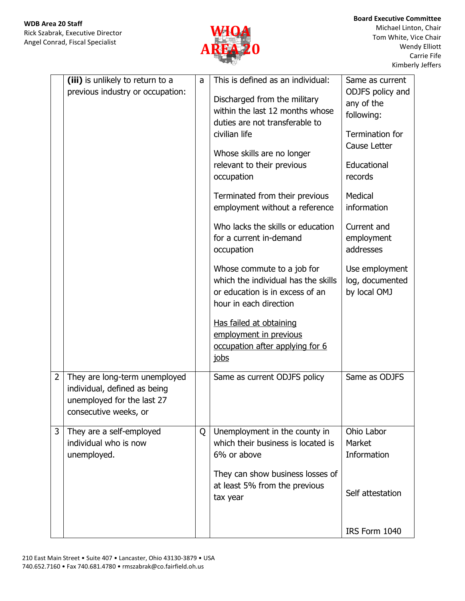

Michael Linton, Chair Tom White, Vice Chair Wendy Elliott Carrie Fife Kimberly Jeffers

|                | (iii) is unlikely to return to a<br>previous industry or occupation:                                                 | a | This is defined as an individual:<br>Discharged from the military<br>within the last 12 months whose<br>duties are not transferable to<br>civilian life<br>Whose skills are no longer<br>relevant to their previous<br>occupation<br>Terminated from their previous<br>employment without a reference<br>Who lacks the skills or education<br>for a current in-demand<br>occupation<br>Whose commute to a job for<br>which the individual has the skills<br>or education is in excess of an<br>hour in each direction<br>Has failed at obtaining<br>employment in previous<br>occupation after applying for 6 | Same as current<br>ODJFS policy and<br>any of the<br>following:<br>Termination for<br>Cause Letter<br>Educational<br>records<br>Medical<br>information<br>Current and<br>employment<br>addresses<br>Use employment<br>log, documented<br>by local OMJ |
|----------------|----------------------------------------------------------------------------------------------------------------------|---|---------------------------------------------------------------------------------------------------------------------------------------------------------------------------------------------------------------------------------------------------------------------------------------------------------------------------------------------------------------------------------------------------------------------------------------------------------------------------------------------------------------------------------------------------------------------------------------------------------------|-------------------------------------------------------------------------------------------------------------------------------------------------------------------------------------------------------------------------------------------------------|
| $\overline{2}$ | They are long-term unemployed<br>individual, defined as being<br>unemployed for the last 27<br>consecutive weeks, or |   | jobs<br>Same as current ODJFS policy                                                                                                                                                                                                                                                                                                                                                                                                                                                                                                                                                                          | Same as ODJFS                                                                                                                                                                                                                                         |
| 3              | They are a self-employed<br>individual who is now<br>unemployed.                                                     | Q | Unemployment in the county in<br>which their business is located is<br>6% or above<br>They can show business losses of<br>at least 5% from the previous<br>tax year                                                                                                                                                                                                                                                                                                                                                                                                                                           | Ohio Labor<br>Market<br>Information<br>Self attestation<br>IRS Form 1040                                                                                                                                                                              |